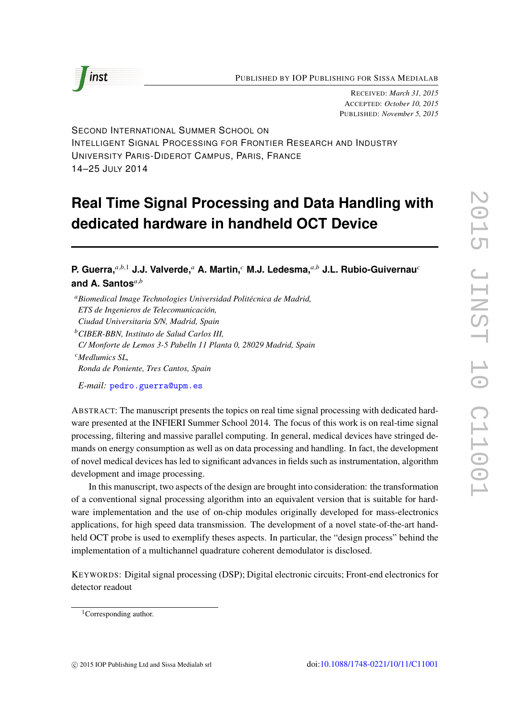

RECEIVED: *March 31, 2015* ACCEPTED: *October 10, 2015* PUBLISHED: *November 5, 2015*

SECOND INTERNATIONAL SUMMER SCHOOL ON INTELLIGENT SIGNAL PROCESSING FOR FRONTIER RESEARCH AND INDUSTRY UNIVERSITY PARIS-DIDEROT CAMPUS, PARIS, FRANCE 14–25 JULY 2014

# **Real Time Signal Processing and Data Handling with dedicated hardware in handheld OCT Device**

**P. Guerra,***a*,*b*,<sup>1</sup> **J.J. Valverde,***<sup>a</sup>* **A. Martin,***<sup>c</sup>* **M.J. Ledesma,***a*,*<sup>b</sup>* **J.L. Rubio-Guivernau***<sup>c</sup>* **and A. Santos***a*,*<sup>b</sup>*

*<sup>a</sup>Biomedical Image Technologies Universidad Politecnica de Madrid, ´ ETS de Ingenieros de Telecomunicacion, ´*

*Ciudad Universitaria S/N, Madrid, Spain*

*<sup>b</sup>CIBER-BBN, Instituto de Salud Carlos III,*

*C/ Monforte de Lemos 3-5 Pabelln 11 Planta 0, 28029 Madrid, Spain*

*<sup>c</sup>Medlumics SL, Ronda de Poniente, Tres Cantos, Spain*

*E-mail:* [pedro.guerra@upm.es](mailto:pedro.guerra@upm.es)

ABSTRACT: The manuscript presents the topics on real time signal processing with dedicated hardware presented at the INFIERI Summer School 2014. The focus of this work is on real-time signal processing, filtering and massive parallel computing. In general, medical devices have stringed demands on energy consumption as well as on data processing and handling. In fact, the development of novel medical devices has led to significant advances in fields such as instrumentation, algorithm development and image processing.

In this manuscript, two aspects of the design are brought into consideration: the transformation of a conventional signal processing algorithm into an equivalent version that is suitable for hardware implementation and the use of on-chip modules originally developed for mass-electronics applications, for high speed data transmission. The development of a novel state-of-the-art handheld OCT probe is used to exemplify theses aspects. In particular, the "design process" behind the implementation of a multichannel quadrature coherent demodulator is disclosed.

KEYWORDS: Digital signal processing (DSP); Digital electronic circuits; Front-end electronics for detector readout

<sup>&</sup>lt;sup>1</sup>Corresponding author.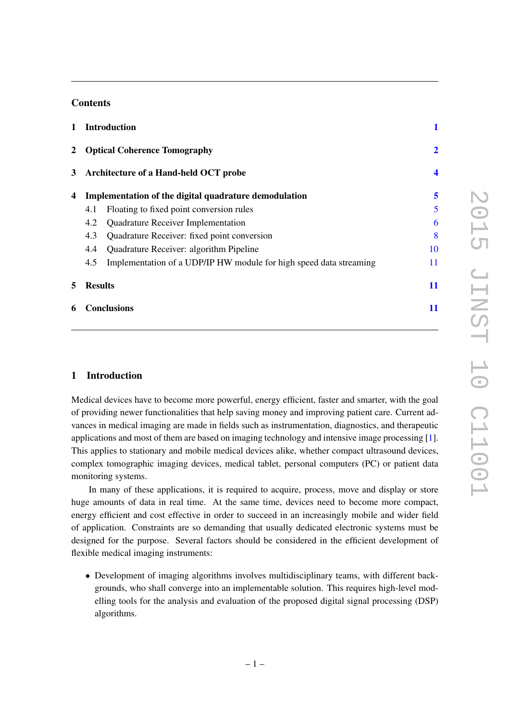# **Contents**

| $\mathbf{1}$                                            |                                                       | <b>Introduction</b>                                                |    |
|---------------------------------------------------------|-------------------------------------------------------|--------------------------------------------------------------------|----|
| $\mathbf{2}$                                            | <b>Optical Coherence Tomography</b>                   |                                                                    |    |
| Architecture of a Hand-held OCT probe<br>3 <sup>1</sup> |                                                       |                                                                    | 4  |
| 4                                                       | Implementation of the digital quadrature demodulation |                                                                    | 5  |
|                                                         | 4.1                                                   | Floating to fixed point conversion rules                           | 5  |
|                                                         | 4.2                                                   | Quadrature Receiver Implementation                                 | 6  |
|                                                         | 4.3                                                   | Quadrature Receiver: fixed point conversion                        | 8  |
|                                                         | 4.4                                                   | Quadrature Receiver: algorithm Pipeline                            | 10 |
|                                                         | 4.5                                                   | Implementation of a UDP/IP HW module for high speed data streaming | 11 |
| 5                                                       | <b>Results</b>                                        |                                                                    | 11 |
| 6                                                       | <b>Conclusions</b>                                    |                                                                    | 11 |

# <span id="page-1-0"></span>1 Introduction

Medical devices have to become more powerful, energy efficient, faster and smarter, with the goal of providing newer functionalities that help saving money and improving patient care. Current advances in medical imaging are made in fields such as instrumentation, diagnostics, and therapeutic applications and most of them are based on imaging technology and intensive image processing [\[1\]](#page-13-0). This applies to stationary and mobile medical devices alike, whether compact ultrasound devices, complex tomographic imaging devices, medical tablet, personal computers (PC) or patient data monitoring systems.

In many of these applications, it is required to acquire, process, move and display or store huge amounts of data in real time. At the same time, devices need to become more compact, energy efficient and cost effective in order to succeed in an increasingly mobile and wider field of application. Constraints are so demanding that usually dedicated electronic systems must be designed for the purpose. Several factors should be considered in the efficient development of flexible medical imaging instruments:

• Development of imaging algorithms involves multidisciplinary teams, with different backgrounds, who shall converge into an implementable solution. This requires high-level modelling tools for the analysis and evaluation of the proposed digital signal processing (DSP) algorithms.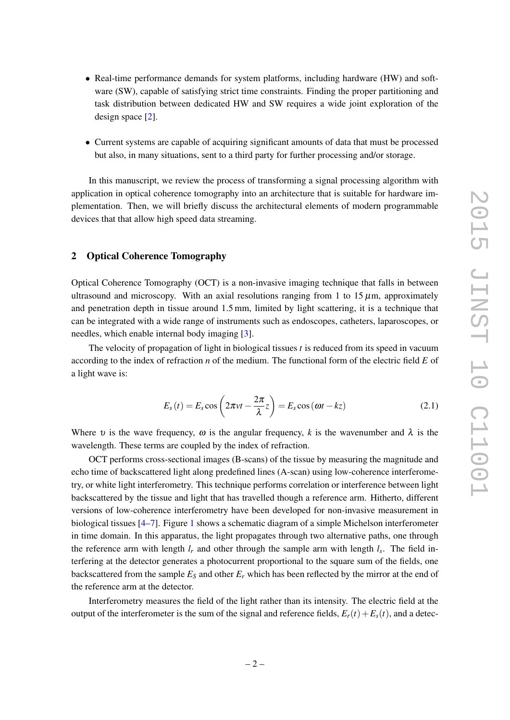- Real-time performance demands for system platforms, including hardware (HW) and software (SW), capable of satisfying strict time constraints. Finding the proper partitioning and task distribution between dedicated HW and SW requires a wide joint exploration of the design space [\[2\]](#page-13-1).
- Current systems are capable of acquiring significant amounts of data that must be processed but also, in many situations, sent to a third party for further processing and/or storage.

In this manuscript, we review the process of transforming a signal processing algorithm with application in optical coherence tomography into an architecture that is suitable for hardware implementation. Then, we will briefly discuss the architectural elements of modern programmable devices that that allow high speed data streaming.

## <span id="page-2-0"></span>2 Optical Coherence Tomography

Optical Coherence Tomography (OCT) is a non-invasive imaging technique that falls in between ultrasound and microscopy. With an axial resolutions ranging from 1 to  $15 \mu m$ , approximately and penetration depth in tissue around 1.5 mm, limited by light scattering, it is a technique that can be integrated with a wide range of instruments such as endoscopes, catheters, laparoscopes, or needles, which enable internal body imaging [\[3\]](#page-13-2).

The velocity of propagation of light in biological tissues *t* is reduced from its speed in vacuum according to the index of refraction *n* of the medium. The functional form of the electric field *E* of a light wave is:

$$
E_s(t) = E_s \cos\left(2\pi vt - \frac{2\pi}{\lambda}z\right) = E_s \cos(\omega t - kz)
$$
\n(2.1)

Where v is the wave frequency,  $\omega$  is the angular frequency, k is the wavenumber and  $\lambda$  is the wavelength. These terms are coupled by the index of refraction.

OCT performs cross-sectional images (B-scans) of the tissue by measuring the magnitude and echo time of backscattered light along predefined lines (A-scan) using low-coherence interferometry, or white light interferometry. This technique performs correlation or interference between light backscattered by the tissue and light that has travelled though a reference arm. Hitherto, different versions of low-coherence interferometry have been developed for non-invasive measurement in biological tissues [\[4–](#page-13-3)[7\]](#page-13-4). Figure [1](#page-3-0) shows a schematic diagram of a simple Michelson interferometer in time domain. In this apparatus, the light propagates through two alternative paths, one through the reference arm with length  $l_r$  and other through the sample arm with length  $l_s$ . The field interfering at the detector generates a photocurrent proportional to the square sum of the fields, one backscattered from the sample  $E<sub>S</sub>$  and other  $E<sub>r</sub>$  which has been reflected by the mirror at the end of the reference arm at the detector.

Interferometry measures the field of the light rather than its intensity. The electric field at the output of the interferometer is the sum of the signal and reference fields,  $E_r(t) + E_s(t)$ , and a detec-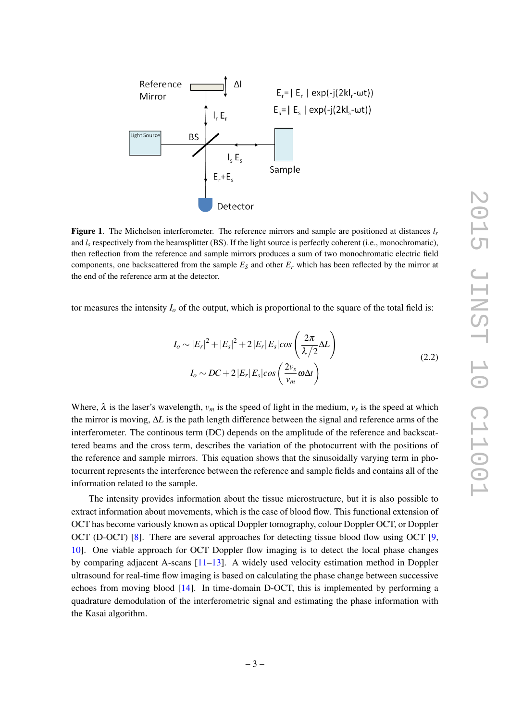

<span id="page-3-0"></span>Figure 1. The Michelson interferometer. The reference mirrors and sample are positioned at distances *l<sup>r</sup>* and  $l_s$  respectively from the beamsplitter (BS). If the light source is perfectly coherent (i.e., monochromatic), then reflection from the reference and sample mirrors produces a sum of two monochromatic electric field components, one backscattered from the sample  $E<sub>S</sub>$  and other  $E<sub>r</sub>$  which has been reflected by the mirror at the end of the reference arm at the detector.

tor measures the intensity  $I_0$  of the output, which is proportional to the square of the total field is:

$$
I_o \sim |E_r|^2 + |E_s|^2 + 2|E_r|E_s|cos\left(\frac{2\pi}{\lambda/2}\Delta L\right)
$$
  

$$
I_o \sim DC + 2|E_r|E_s|cos\left(\frac{2v_s}{v_m}\omega\Delta t\right)
$$
 (2.2)

Where,  $\lambda$  is the laser's wavelength,  $v_m$  is the speed of light in the medium,  $v_s$  is the speed at which the mirror is moving, ∆*L* is the path length difference between the signal and reference arms of the interferometer. The continous term (DC) depends on the amplitude of the reference and backscattered beams and the cross term, describes the variation of the photocurrent with the positions of the reference and sample mirrors. This equation shows that the sinusoidally varying term in photocurrent represents the interference between the reference and sample fields and contains all of the information related to the sample.

The intensity provides information about the tissue microstructure, but it is also possible to extract information about movements, which is the case of blood flow. This functional extension of OCT has become variously known as optical Doppler tomography, colour Doppler OCT, or Doppler OCT (D-OCT) [\[8\]](#page-13-5). There are several approaches for detecting tissue blood flow using OCT [\[9,](#page-13-6) [10\]](#page-13-7). One viable approach for OCT Doppler flow imaging is to detect the local phase changes by comparing adjacent A-scans [\[11](#page-13-8)[–13\]](#page-13-9). A widely used velocity estimation method in Doppler ultrasound for real-time flow imaging is based on calculating the phase change between successive echoes from moving blood [\[14\]](#page-13-10). In time-domain D-OCT, this is implemented by performing a quadrature demodulation of the interferometric signal and estimating the phase information with the Kasai algorithm.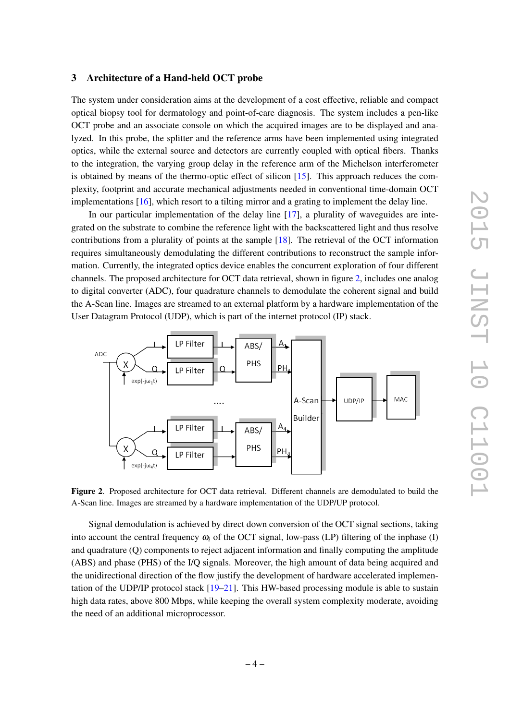## <span id="page-4-0"></span>3 Architecture of a Hand-held OCT probe

The system under consideration aims at the development of a cost effective, reliable and compact optical biopsy tool for dermatology and point-of-care diagnosis. The system includes a pen-like OCT probe and an associate console on which the acquired images are to be displayed and analyzed. In this probe, the splitter and the reference arms have been implemented using integrated optics, while the external source and detectors are currently coupled with optical fibers. Thanks to the integration, the varying group delay in the reference arm of the Michelson interferometer is obtained by means of the thermo-optic effect of silicon [\[15\]](#page-13-11). This approach reduces the complexity, footprint and accurate mechanical adjustments needed in conventional time-domain OCT implementations [\[16\]](#page-14-0), which resort to a tilting mirror and a grating to implement the delay line.

In our particular implementation of the delay line [\[17\]](#page-14-1), a plurality of waveguides are integrated on the substrate to combine the reference light with the backscattered light and thus resolve contributions from a plurality of points at the sample [\[18\]](#page-14-2). The retrieval of the OCT information requires simultaneously demodulating the different contributions to reconstruct the sample information. Currently, the integrated optics device enables the concurrent exploration of four different channels. The proposed architecture for OCT data retrieval, shown in figure [2,](#page-4-1) includes one analog to digital converter (ADC), four quadrature channels to demodulate the coherent signal and build the A-Scan line. Images are streamed to an external platform by a hardware implementation of the User Datagram Protocol (UDP), which is part of the internet protocol (IP) stack.



<span id="page-4-1"></span>Figure 2. Proposed architecture for OCT data retrieval. Different channels are demodulated to build the A-Scan line. Images are streamed by a hardware implementation of the UDP/UP protocol.

Signal demodulation is achieved by direct down conversion of the OCT signal sections, taking into account the central frequency  $\omega_i$  of the OCT signal, low-pass (LP) filtering of the inphase (I) and quadrature (Q) components to reject adjacent information and finally computing the amplitude (ABS) and phase (PHS) of the I/Q signals. Moreover, the high amount of data being acquired and the unidirectional direction of the flow justify the development of hardware accelerated implementation of the UDP/IP protocol stack  $[19–21]$  $[19–21]$ . This HW-based processing module is able to sustain high data rates, above 800 Mbps, while keeping the overall system complexity moderate, avoiding the need of an additional microprocessor.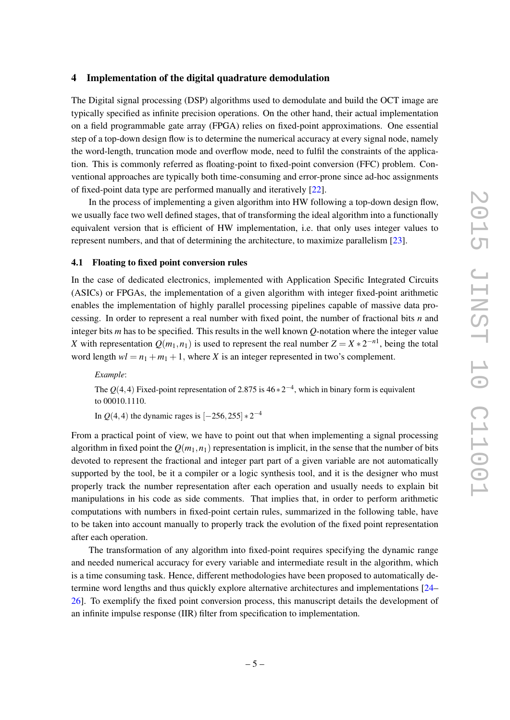## <span id="page-5-0"></span>4 Implementation of the digital quadrature demodulation

The Digital signal processing (DSP) algorithms used to demodulate and build the OCT image are typically specified as infinite precision operations. On the other hand, their actual implementation on a field programmable gate array (FPGA) relies on fixed-point approximations. One essential step of a top-down design flow is to determine the numerical accuracy at every signal node, namely the word-length, truncation mode and overflow mode, need to fulfil the constraints of the application. This is commonly referred as floating-point to fixed-point conversion (FFC) problem. Conventional approaches are typically both time-consuming and error-prone since ad-hoc assignments of fixed-point data type are performed manually and iteratively [\[22\]](#page-14-5).

In the process of implementing a given algorithm into HW following a top-down design flow, we usually face two well defined stages, that of transforming the ideal algorithm into a functionally equivalent version that is efficient of HW implementation, i.e. that only uses integer values to represent numbers, and that of determining the architecture, to maximize parallelism [\[23\]](#page-14-6).

#### <span id="page-5-1"></span>4.1 Floating to fixed point conversion rules

In the case of dedicated electronics, implemented with Application Specific Integrated Circuits (ASICs) or FPGAs, the implementation of a given algorithm with integer fixed-point arithmetic enables the implementation of highly parallel processing pipelines capable of massive data processing. In order to represent a real number with fixed point, the number of fractional bits *n* and integer bits *m* has to be specified. This results in the well known *Q*-notation where the integer value *X* with representation  $Q(m_1, n_1)$  is used to represent the real number  $Z = X * 2^{-n_1}$ , being the total word length  $wl = n_1 + m_1 + 1$ , where *X* is an integer represented in two's complement.

*Example*: The  $Q(4,4)$  Fixed-point representation of 2.875 is  $46 \times 2^{-4}$ , which in binary form is equivalent to 00010.1110. In  $Q(4,4)$  the dynamic rages is  $[-256, 255] * 2^{-4}$ 

From a practical point of view, we have to point out that when implementing a signal processing algorithm in fixed point the  $Q(m_1, n_1)$  representation is implicit, in the sense that the number of bits devoted to represent the fractional and integer part part of a given variable are not automatically supported by the tool, be it a compiler or a logic synthesis tool, and it is the designer who must properly track the number representation after each operation and usually needs to explain bit manipulations in his code as side comments. That implies that, in order to perform arithmetic computations with numbers in fixed-point certain rules, summarized in the following table, have to be taken into account manually to properly track the evolution of the fixed point representation after each operation.

The transformation of any algorithm into fixed-point requires specifying the dynamic range and needed numerical accuracy for every variable and intermediate result in the algorithm, which is a time consuming task. Hence, different methodologies have been proposed to automatically determine word lengths and thus quickly explore alternative architectures and implementations [\[24–](#page-14-7) [26\]](#page-14-8). To exemplify the fixed point conversion process, this manuscript details the development of an infinite impulse response (IIR) filter from specification to implementation.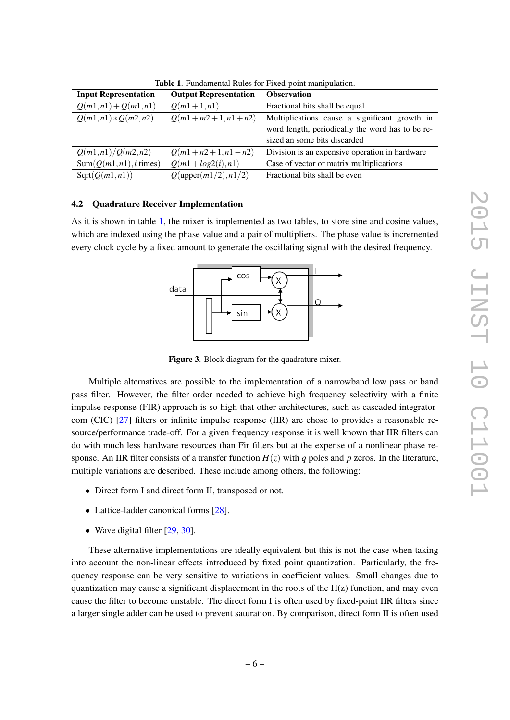| <b>Input Representation</b> | <b>Output Representation</b>  | <b>Observation</b>                               |
|-----------------------------|-------------------------------|--------------------------------------------------|
| $Q(m1,n1) + Q(m1,n1)$       | $Q(m1+1,n1)$                  | Fractional bits shall be equal                   |
| $Q(m1,n1) * Q(m2,n2)$       | $Q(m1+m2+1,n1+n2)$            | Multiplications cause a significant growth in    |
|                             |                               | word length, periodically the word has to be re- |
|                             |                               | sized an some bits discarded                     |
| Q(m1,n1)/Q(m2,n2)           | $Q(m1+n2+1,n1-n2)$            | Division is an expensive operation in hardware   |
| $Sum(Q(m1, n1), i \times)$  | $Q(m1 + log2(i), n1)$         | Case of vector or matrix multiplications         |
| Sqrt(Q(m1, n1))             | $Q(\text{upper}(m1/2), n1/2)$ | Fractional bits shall be even                    |

<span id="page-6-1"></span>Table 1. Fundamental Rules for Fixed-point manipulation.

## <span id="page-6-0"></span>4.2 Quadrature Receiver Implementation

As it is shown in table [1,](#page-6-1) the mixer is implemented as two tables, to store sine and cosine values, which are indexed using the phase value and a pair of multipliers. The phase value is incremented every clock cycle by a fixed amount to generate the oscillating signal with the desired frequency.



<span id="page-6-2"></span>Figure 3. Block diagram for the quadrature mixer.

Multiple alternatives are possible to the implementation of a narrowband low pass or band pass filter. However, the filter order needed to achieve high frequency selectivity with a finite impulse response (FIR) approach is so high that other architectures, such as cascaded integratorcom (CIC) [\[27\]](#page-14-9) filters or infinite impulse response (IIR) are chose to provides a reasonable resource/performance trade-off. For a given frequency response it is well known that IIR filters can do with much less hardware resources than Fir filters but at the expense of a nonlinear phase response. An IIR filter consists of a transfer function  $H(z)$  with *q* poles and *p* zeros. In the literature, multiple variations are described. These include among others, the following:

- Direct form I and direct form II, transposed or not.
- Lattice-ladder canonical forms [\[28\]](#page-14-10).
- Wave digital filter [\[29,](#page-14-11) [30\]](#page-14-12).

These alternative implementations are ideally equivalent but this is not the case when taking into account the non-linear effects introduced by fixed point quantization. Particularly, the frequency response can be very sensitive to variations in coefficient values. Small changes due to quantization may cause a significant displacement in the roots of the  $H(z)$  function, and may even cause the filter to become unstable. The direct form I is often used by fixed-point IIR filters since a larger single adder can be used to prevent saturation. By comparison, direct form II is often used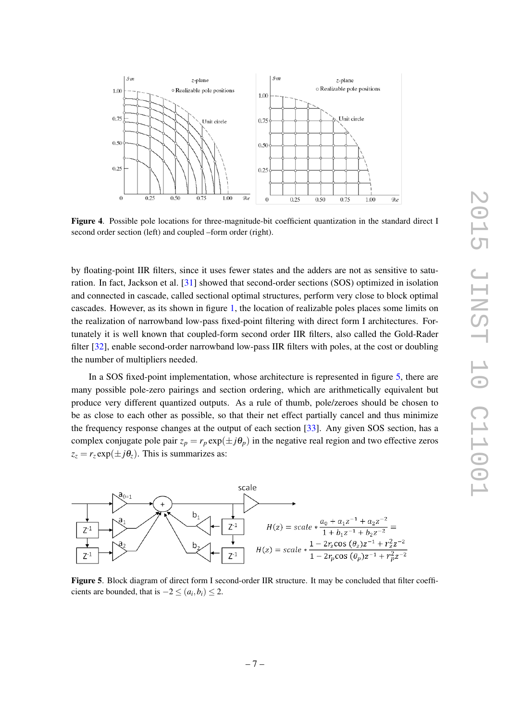

Figure 4. Possible pole locations for three-magnitude-bit coefficient quantization in the standard direct I second order section (left) and coupled –form order (right).

by floating-point IIR filters, since it uses fewer states and the adders are not as sensitive to saturation. In fact, Jackson et al. [\[31\]](#page-14-13) showed that second-order sections (SOS) optimized in isolation and connected in cascade, called sectional optimal structures, perform very close to block optimal cascades. However, as its shown in figure [1,](#page-3-0) the location of realizable poles places some limits on the realization of narrowband low-pass fixed-point filtering with direct form I architectures. Fortunately it is well known that coupled-form second order IIR filters, also called the Gold-Rader filter [\[32\]](#page-14-14), enable second-order narrowband low-pass IIR filters with poles, at the cost or doubling the number of multipliers needed.

In a SOS fixed-point implementation, whose architecture is represented in figure [5,](#page-7-0) there are many possible pole-zero pairings and section ordering, which are arithmetically equivalent but produce very different quantized outputs. As a rule of thumb, pole/zeroes should be chosen to be as close to each other as possible, so that their net effect partially cancel and thus minimize the frequency response changes at the output of each section [\[33\]](#page-14-15). Any given SOS section, has a complex conjugate pole pair  $z_p = r_p \exp(\pm j\theta_p)$  in the negative real region and two effective zeros  $z_z = r_z \exp(\pm i\theta_z)$ . This is summarizes as:



<span id="page-7-0"></span>Figure 5. Block diagram of direct form I second-order IIR structure. It may be concluded that filter coefficients are bounded, that is  $-2 \leq (a_i, b_i) \leq 2$ .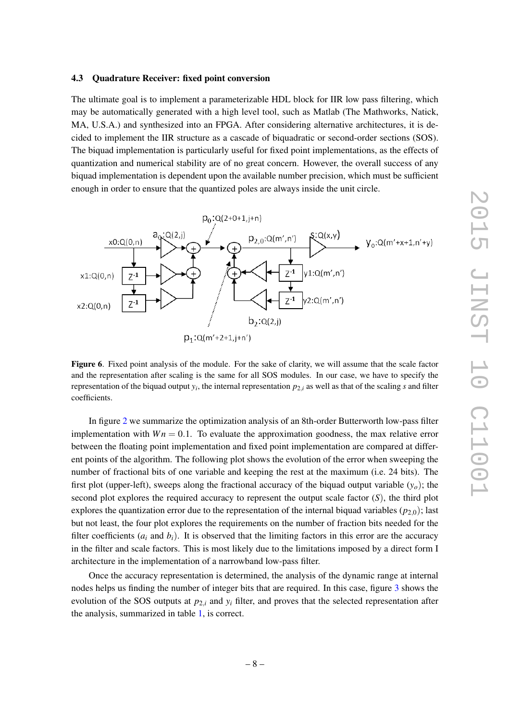#### <span id="page-8-0"></span>4.3 Quadrature Receiver: fixed point conversion

The ultimate goal is to implement a parameterizable HDL block for IIR low pass filtering, which may be automatically generated with a high level tool, such as Matlab (The Mathworks, Natick, MA, U.S.A.) and synthesized into an FPGA. After considering alternative architectures, it is decided to implement the IIR structure as a cascade of biquadratic or second-order sections (SOS). The biquad implementation is particularly useful for fixed point implementations, as the effects of quantization and numerical stability are of no great concern. However, the overall success of any biquad implementation is dependent upon the available number precision, which must be sufficient enough in order to ensure that the quantized poles are always inside the unit circle.



Figure 6. Fixed point analysis of the module. For the sake of clarity, we will assume that the scale factor and the representation after scaling is the same for all SOS modules. In our case, we have to specify the representation of the biquad output *y<sup>i</sup>* , the internal representation *p*2,*<sup>i</sup>* as well as that of the scaling *s* and filter coefficients.

In figure [2](#page-4-1) we summarize the optimization analysis of an 8th-order Butterworth low-pass filter implementation with  $Wn = 0.1$ . To evaluate the approximation goodness, the max relative error between the floating point implementation and fixed point implementation are compared at different points of the algorithm. The following plot shows the evolution of the error when sweeping the number of fractional bits of one variable and keeping the rest at the maximum (i.e. 24 bits). The first plot (upper-left), sweeps along the fractional accuracy of the biquad output variable  $(y<sub>o</sub>)$ ; the second plot explores the required accuracy to represent the output scale factor (*S*), the third plot explores the quantization error due to the representation of the internal biquad variables  $(p_{2,0})$ ; last but not least, the four plot explores the requirements on the number of fraction bits needed for the filter coefficients  $(a_i$  and  $b_i$ ). It is observed that the limiting factors in this error are the accuracy in the filter and scale factors. This is most likely due to the limitations imposed by a direct form I architecture in the implementation of a narrowband low-pass filter.

Once the accuracy representation is determined, the analysis of the dynamic range at internal nodes helps us finding the number of integer bits that are required. In this case, figure [3](#page-6-2) shows the evolution of the SOS outputs at  $p_{2,i}$  and  $y_i$  filter, and proves that the selected representation after the analysis, summarized in table [1,](#page-6-1) is correct.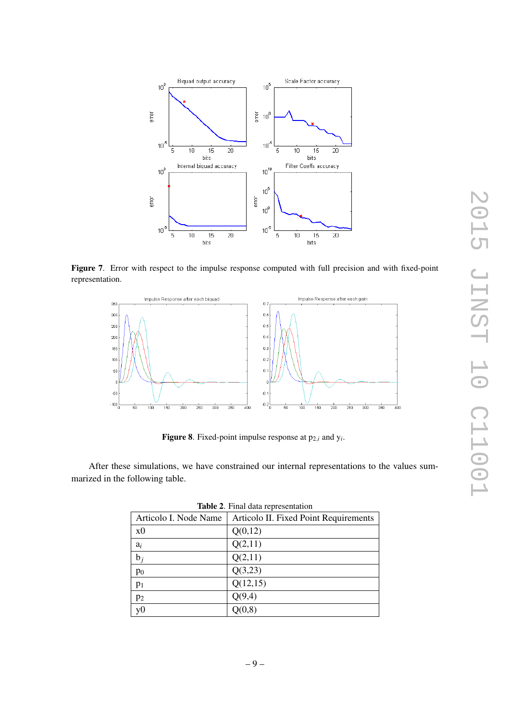

Figure 7. Error with respect to the impulse response computed with full precision and with fixed-point representation.



<span id="page-9-0"></span>**Figure 8**. Fixed-point impulse response at  $p_{2,i}$  and  $y_i$ .

After these simulations, we have constrained our internal representations to the values summarized in the following table.

| Articolo I. Node Name | Articolo II. Fixed Point Requirements |
|-----------------------|---------------------------------------|
| x <sub>0</sub>        | Q(0,12)                               |
| $a_i$                 | Q(2,11)                               |
| $b_i$                 | Q(2,11)                               |
| $p_0$                 | Q(3,23)                               |
| p <sub>1</sub>        | Q(12,15)                              |
| p <sub>2</sub>        | Q(9,4)                                |
| v <sub>0</sub>        | Q(0,8)                                |

| Table 2. Final data representation |
|------------------------------------|
|                                    |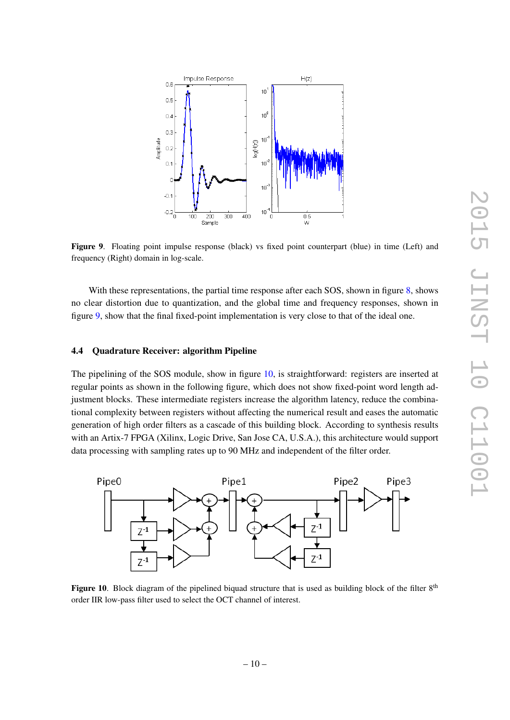

<span id="page-10-1"></span>Figure 9. Floating point impulse response (black) vs fixed point counterpart (blue) in time (Left) and frequency (Right) domain in log-scale.

With these representations, the partial time response after each SOS, shown in figure [8,](#page-9-0) shows no clear distortion due to quantization, and the global time and frequency responses, shown in figure [9,](#page-10-1) show that the final fixed-point implementation is very close to that of the ideal one.

# <span id="page-10-0"></span>4.4 Quadrature Receiver: algorithm Pipeline

The pipelining of the SOS module, show in figure [10,](#page-10-2) is straightforward: registers are inserted at regular points as shown in the following figure, which does not show fixed-point word length adjustment blocks. These intermediate registers increase the algorithm latency, reduce the combinational complexity between registers without affecting the numerical result and eases the automatic generation of high order filters as a cascade of this building block. According to synthesis results with an Artix-7 FPGA (Xilinx, Logic Drive, San Jose CA, U.S.A.), this architecture would support data processing with sampling rates up to 90 MHz and independent of the filter order.



<span id="page-10-2"></span>Figure 10. Block diagram of the pipelined biquad structure that is used as building block of the filter  $8<sup>th</sup>$ order IIR low-pass filter used to select the OCT channel of interest.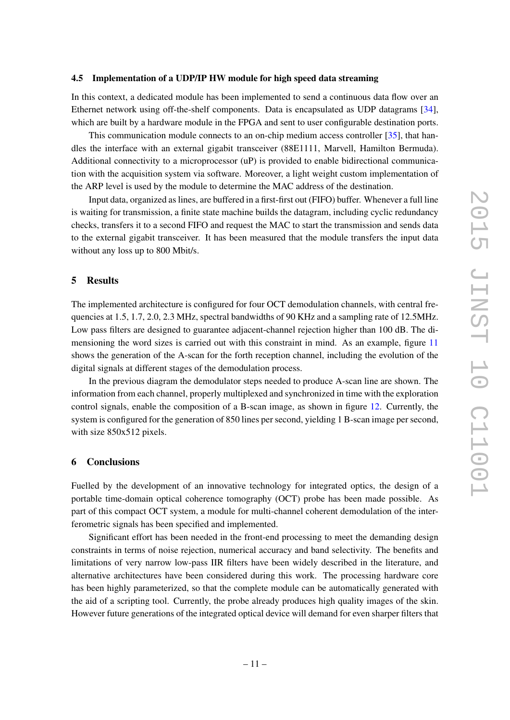## <span id="page-11-0"></span>4.5 Implementation of a UDP/IP HW module for high speed data streaming

In this context, a dedicated module has been implemented to send a continuous data flow over an Ethernet network using off-the-shelf components. Data is encapsulated as UDP datagrams [\[34\]](#page-14-16), which are built by a hardware module in the FPGA and sent to user configurable destination ports.

This communication module connects to an on-chip medium access controller [\[35\]](#page-14-17), that handles the interface with an external gigabit transceiver (88E1111, Marvell, Hamilton Bermuda). Additional connectivity to a microprocessor (uP) is provided to enable bidirectional communication with the acquisition system via software. Moreover, a light weight custom implementation of the ARP level is used by the module to determine the MAC address of the destination.

Input data, organized as lines, are buffered in a first-first out (FIFO) buffer. Whenever a full line is waiting for transmission, a finite state machine builds the datagram, including cyclic redundancy checks, transfers it to a second FIFO and request the MAC to start the transmission and sends data to the external gigabit transceiver. It has been measured that the module transfers the input data without any loss up to 800 Mbit/s.

#### <span id="page-11-1"></span>5 Results

The implemented architecture is configured for four OCT demodulation channels, with central frequencies at 1.5, 1.7, 2.0, 2.3 MHz, spectral bandwidths of 90 KHz and a sampling rate of 12.5MHz. Low pass filters are designed to guarantee adjacent-channel rejection higher than 100 dB. The dimensioning the word sizes is carried out with this constraint in mind. As an example, figure [11](#page-12-0) shows the generation of the A-scan for the forth reception channel, including the evolution of the digital signals at different stages of the demodulation process.

In the previous diagram the demodulator steps needed to produce A-scan line are shown. The information from each channel, properly multiplexed and synchronized in time with the exploration control signals, enable the composition of a B-scan image, as shown in figure [12.](#page-12-1) Currently, the system is configured for the generation of 850 lines per second, yielding 1 B-scan image per second, with size 850x512 pixels.

## <span id="page-11-2"></span>6 Conclusions

Fuelled by the development of an innovative technology for integrated optics, the design of a portable time-domain optical coherence tomography (OCT) probe has been made possible. As part of this compact OCT system, a module for multi-channel coherent demodulation of the interferometric signals has been specified and implemented.

Significant effort has been needed in the front-end processing to meet the demanding design constraints in terms of noise rejection, numerical accuracy and band selectivity. The benefits and limitations of very narrow low-pass IIR filters have been widely described in the literature, and alternative architectures have been considered during this work. The processing hardware core has been highly parameterized, so that the complete module can be automatically generated with the aid of a scripting tool. Currently, the probe already produces high quality images of the skin. However future generations of the integrated optical device will demand for even sharper filters that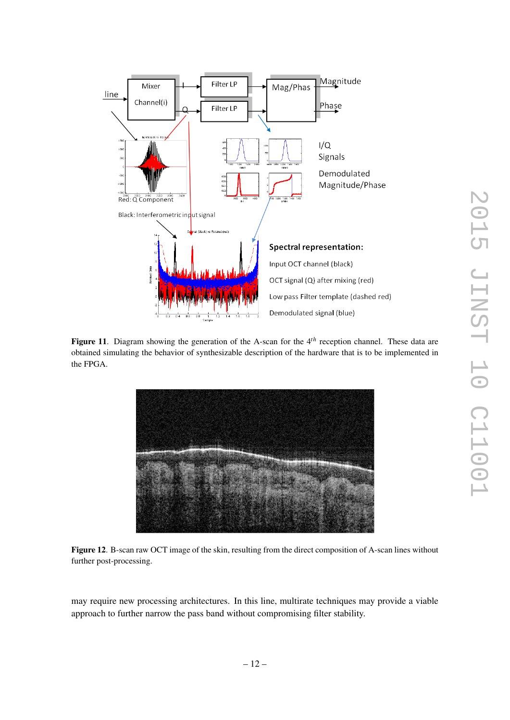

<span id="page-12-0"></span>Figure 11. Diagram showing the generation of the A-scan for the 4<sup>th</sup> reception channel. These data are obtained simulating the behavior of synthesizable description of the hardware that is to be implemented in the FPGA.



<span id="page-12-1"></span>Figure 12. B-scan raw OCT image of the skin, resulting from the direct composition of A-scan lines without further post-processing.

may require new processing architectures. In this line, multirate techniques may provide a viable approach to further narrow the pass band without compromising filter stability.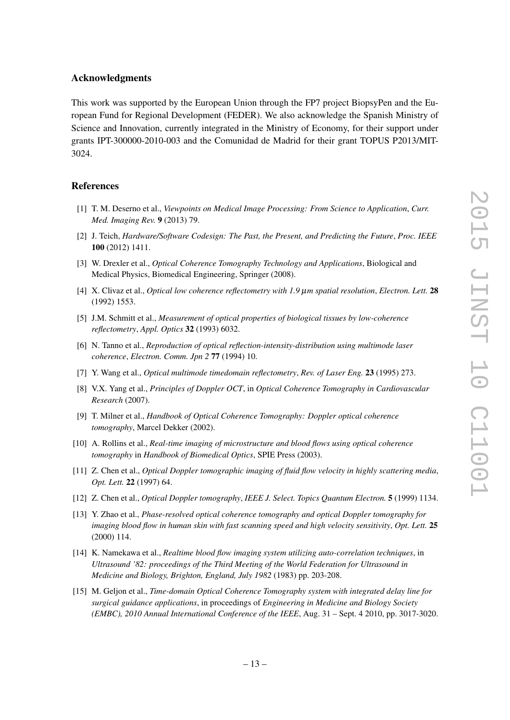#### Acknowledgments

This work was supported by the European Union through the FP7 project BiopsyPen and the European Fund for Regional Development (FEDER). We also acknowledge the Spanish Ministry of Science and Innovation, currently integrated in the Ministry of Economy, for their support under grants IPT-300000-2010-003 and the Comunidad de Madrid for their grant TOPUS P2013/MIT-3024.

# References

- <span id="page-13-0"></span>[1] T. M. Deserno et al., *Viewpoints on Medical Image Processing: From Science to Application*, *Curr. Med. Imaging Rev.* 9 (2013) 79.
- <span id="page-13-1"></span>[2] J. Teich, *Hardware/Software Codesign: The Past, the Present, and Predicting the Future*, *Proc. IEEE* 100 (2012) 1411.
- <span id="page-13-2"></span>[3] W. Drexler et al., *Optical Coherence Tomography Technology and Applications*, Biological and Medical Physics, Biomedical Engineering, Springer (2008).
- <span id="page-13-3"></span>[4] X. Clivaz et al., *Optical low coherence reflectometry with 1.9* µ*m spatial resolution*, *Electron. Lett.* 28 (1992) 1553.
- [5] J.M. Schmitt et al., *Measurement of optical properties of biological tissues by low-coherence reflectometry*, *Appl. Optics* 32 (1993) 6032.
- [6] N. Tanno et al., *Reproduction of optical reflection-intensity-distribution using multimode laser coherence*, *Electron. Comm. Jpn 2* 77 (1994) 10.
- <span id="page-13-4"></span>[7] Y. Wang et al., *Optical multimode timedomain reflectometry*, *Rev. of Laser Eng.* 23 (1995) 273.
- <span id="page-13-5"></span>[8] V.X. Yang et al., *Principles of Doppler OCT*, in *Optical Coherence Tomography in Cardiovascular Research* (2007).
- <span id="page-13-6"></span>[9] T. Milner et al., *Handbook of Optical Coherence Tomography: Doppler optical coherence tomography*, Marcel Dekker (2002).
- <span id="page-13-7"></span>[10] A. Rollins et al., *Real-time imaging of microstructure and blood flows using optical coherence tomography* in *Handbook of Biomedical Optics*, SPIE Press (2003).
- <span id="page-13-8"></span>[11] Z. Chen et al., *Optical Doppler tomographic imaging of fluid flow velocity in highly scattering media*, *Opt. Lett.* 22 (1997) 64.
- [12] Z. Chen et al., *Optical Doppler tomography*, *IEEE J. Select. Topics Quantum Electron.* 5 (1999) 1134.
- <span id="page-13-9"></span>[13] Y. Zhao et al., *Phase-resolved optical coherence tomography and optical Doppler tomography for imaging blood flow in human skin with fast scanning speed and high velocity sensitivity*, *Opt. Lett.* 25 (2000) 114.
- <span id="page-13-10"></span>[14] K. Namekawa et al., *Realtime blood flow imaging system utilizing auto-correlation techniques*, in *Ultrasound '82: proceedings of the Third Meeting of the World Federation for Ultrasound in Medicine and Biology, Brighton, England, July 1982* (1983) pp. 203-208.
- <span id="page-13-11"></span>[15] M. Geljon et al., *Time-domain Optical Coherence Tomography system with integrated delay line for surgical guidance applications*, in proceedings of *Engineering in Medicine and Biology Society (EMBC), 2010 Annual International Conference of the IEEE*, Aug. 31 – Sept. 4 2010, pp. 3017-3020.